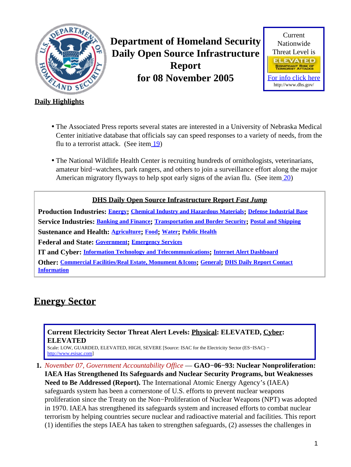<span id="page-0-1"></span>

**Department of Homeland Security Daily Open Source Infrastructure Report for 08 November 2005**



#### **Daily Highlights**

- The Associated Press reports several states are interested in a University of Nebraska Medical Center initiative database that officials say can speed responses to a variety of needs, from the flu to a terrorist attack. (See ite[m 19](#page-7-0))
- The National Wildlife Health Center is recruiting hundreds of ornithologists, veterinarians, amateur bird−watchers, park rangers, and others to join a surveillance effort along the major American migratory flyways to help spot early signs of the avian flu. (See item [20\)](#page-8-0)

#### **DHS Daily Open Source Infrastructure Report** *Fast Jump*

**Production Industries: [Energy](#page-0-0); [Chemical Industry and Hazardous Materials](#page-2-0); [Defense Industrial Base](#page-2-1) Service Industries: [Banking and Finance](#page-2-2); [Transportation and Border Security](#page-3-0); [Postal and Shipping](#page-5-0) Sustenance and Health: [Agriculture](#page-5-1); [Food](#page-6-0); [Water](#page-6-1); [Public Health](#page-7-1) Federal and State: [Government](#page-8-1); [Emergency Services](#page-9-0) IT and Cyber: [Information Technology and Telecommunications](#page-10-0); [Internet Alert Dashboard](#page-11-0) Other: [Commercial Facilities/Real Estate, Monument &Icons](#page-12-0); [General](#page-12-1); [DHS Daily Report Contact](#page-12-2)**

**[Information](#page-12-2)**

## <span id="page-0-0"></span>**Energy Sector**

**Current Electricity Sector Threat Alert Levels: Physical: ELEVATED, Cyber: ELEVATED**

Scale: LOW, GUARDED, ELEVATED, HIGH, SEVERE [Source: ISAC for the Electricity Sector (ES−ISAC) − [http://www.esisac.com](http://esisac.com)]

**1.** *November 07, Government Accountability Office* — **GAO−06−93: Nuclear Nonproliferation:**

**IAEA Has Strengthened Its Safeguards and Nuclear Security Programs, but Weaknesses Need to Be Addressed (Report).** The International Atomic Energy Agency's (IAEA) safeguards system has been a cornerstone of U.S. efforts to prevent nuclear weapons proliferation since the Treaty on the Non−Proliferation of Nuclear Weapons (NPT) was adopted in 1970. IAEA has strengthened its safeguards system and increased efforts to combat nuclear terrorism by helping countries secure nuclear and radioactive material and facilities. This report (1) identifies the steps IAEA has taken to strengthen safeguards, (2) assesses the challenges in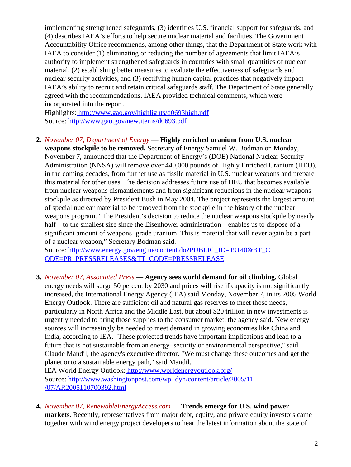implementing strengthened safeguards, (3) identifies U.S. financial support for safeguards, and (4) describes IAEA's efforts to help secure nuclear material and facilities. The Government Accountability Office recommends, among other things, that the Department of State work with IAEA to consider (1) eliminating or reducing the number of agreements that limit IAEA's authority to implement strengthened safeguards in countries with small quantities of nuclear material, (2) establishing better measures to evaluate the effectiveness of safeguards and nuclear security activities, and (3) rectifying human capital practices that negatively impact IAEA's ability to recruit and retain critical safeguards staff. The Department of State generally agreed with the recommendations. IAEA provided technical comments, which were incorporated into the report.

Highlights:<http://www.gao.gov/highlights/d0693high.pdf> Source[: http://www.gao.gov/new.items/d0693.pdf](http://www.gao.gov/new.items/d0693.pdf)

**2.** *November 07, Department of Energy* — **Highly enriched uranium from U.S. nuclear**

**weapons stockpile to be removed.** Secretary of Energy Samuel W. Bodman on Monday, November 7, announced that the Department of Energy's (DOE) National Nuclear Security Administration (NNSA) will remove over 440,000 pounds of Highly Enriched Uranium (HEU), in the coming decades, from further use as fissile material in U.S. nuclear weapons and prepare this material for other uses. The decision addresses future use of HEU that becomes available from nuclear weapons dismantlements and from significant reductions in the nuclear weapons stockpile as directed by President Bush in May 2004. The project represents the largest amount of special nuclear material to be removed from the stockpile in the history of the nuclear weapons program. "The President's decision to reduce the nuclear weapons stockpile by nearly half—to the smallest size since the Eisenhower administration—enables us to dispose of a significant amount of weapons−grade uranium. This is material that will never again be a part of a nuclear weapon," Secretary Bodman said.

Source[: http://www.energy.gov/engine/content.do?PUBLIC\\_ID=19140&BT\\_C](http://www.energy.gov/engine/content.do?PUBLIC_ID=19140&BT_CODE=PR_PRESSRELEASES&TT_CODE=PRESSRELEASE) [ODE=PR\\_PRESSRELEASES&TT\\_CODE=PRESSRELEASE](http://www.energy.gov/engine/content.do?PUBLIC_ID=19140&BT_CODE=PR_PRESSRELEASES&TT_CODE=PRESSRELEASE)

**3.** *November 07, Associated Press* — **Agency sees world demand for oil climbing.** Global energy needs will surge 50 percent by 2030 and prices will rise if capacity is not significantly increased, the International Energy Agency (IEA) said Monday, November 7, in its 2005 World Energy Outlook. There are sufficient oil and natural gas reserves to meet those needs, particularly in North Africa and the Middle East, but about \$20 trillion in new investments is urgently needed to bring those supplies to the consumer market, the agency said. New energy sources will increasingly be needed to meet demand in growing economies like China and India, according to IEA. "These projected trends have important implications and lead to a future that is not sustainable from an energy−security or environmental perspective," said Claude Mandil, the agency's executive director. "We must change these outcomes and get the planet onto a sustainable energy path," said Mandil.

IEA World Energy Outlook:<http://www.worldenergyoutlook.org/> Source[: http://www.washingtonpost.com/wp−dyn/content/article/2005/11](http://www.washingtonpost.com/wp-dyn/content/article/2005/11/07/AR2005110700392.html) [/07/AR2005110700392.html](http://www.washingtonpost.com/wp-dyn/content/article/2005/11/07/AR2005110700392.html)

**4.** *November 07, RenewableEnergyAccess.com* — **Trends emerge for U.S. wind power markets.** Recently, representatives from major debt, equity, and private equity investors came together with wind energy project developers to hear the latest information about the state of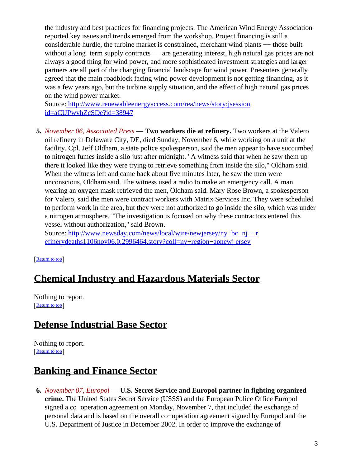the industry and best practices for financing projects. The American Wind Energy Association reported key issues and trends emerged from the workshop. Project financing is still a considerable hurdle, the turbine market is constrained, merchant wind plants −− those built without a long–term supply contracts –– are generating interest, high natural gas prices are not always a good thing for wind power, and more sophisticated investment strategies and larger partners are all part of the changing financial landscape for wind power. Presenters generally agreed that the main roadblock facing wind power development is not getting financing, as it was a few years ago, but the turbine supply situation, and the effect of high natural gas prices on the wind power market.

Source[: http://www.renewableenergyaccess.com/rea/news/story;jsession](http://www.renewableenergyaccess.com/rea/news/story;jsessionid=aCUPwvhZcSDe?id=38947) [id=aCUPwvhZcSDe?id=38947](http://www.renewableenergyaccess.com/rea/news/story;jsessionid=aCUPwvhZcSDe?id=38947)

**5.** *November 06, Associated Press* — **Two workers die at refinery.** Two workers at the Valero oil refinery in Delaware City, DE, died Sunday, November 6, while working on a unit at the facility. Cpl. Jeff Oldham, a state police spokesperson, said the men appear to have succumbed to nitrogen fumes inside a silo just after midnight. "A witness said that when he saw them up there it looked like they were trying to retrieve something from inside the silo," Oldham said. When the witness left and came back about five minutes later, he saw the men were unconscious, Oldham said. The witness used a radio to make an emergency call. A man wearing an oxygen mask retrieved the men, Oldham said. Mary Rose Brown, a spokesperson for Valero, said the men were contract workers with Matrix Services Inc. They were scheduled to perform work in the area, but they were not authorized to go inside the silo, which was under a nitrogen atmosphere. "The investigation is focused on why these contractors entered this vessel without authorization," said Brown.

Source[: http://www.newsday.com/news/local/wire/newjersey/ny−bc−nj−−r](http://www.newsday.com/news/local/wire/newjersey/ny-bc-nj--refinerydeaths1106nov06,0,2996464.story?coll=ny-region-apnewjersey) [efinerydeaths1106nov06,0,2996464.story?coll=ny−region−apnewj ersey](http://www.newsday.com/news/local/wire/newjersey/ny-bc-nj--refinerydeaths1106nov06,0,2996464.story?coll=ny-region-apnewjersey)

#### [[Return to top](#page-0-1)]

### <span id="page-2-0"></span>**Chemical Industry and Hazardous Materials Sector**

Nothing to report. [[Return to top](#page-0-1)]

#### <span id="page-2-1"></span>**Defense Industrial Base Sector**

Nothing to report. [[Return to top](#page-0-1)]

### <span id="page-2-2"></span>**Banking and Finance Sector**

**6.** *November 07, Europol* — **U.S. Secret Service and Europol partner in fighting organized crime.** The United States Secret Service (USSS) and the European Police Office Europol signed a co−operation agreement on Monday, November 7, that included the exchange of personal data and is based on the overall co−operation agreement signed by Europol and the U.S. Department of Justice in December 2002. In order to improve the exchange of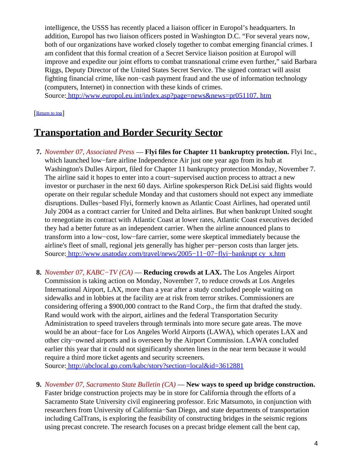intelligence, the USSS has recently placed a liaison officer in Europol's headquarters. In addition, Europol has two liaison officers posted in Washington D.C. "For several years now, both of our organizations have worked closely together to combat emerging financial crimes. I am confident that this formal creation of a Secret Service liaison position at Europol will improve and expedite our joint efforts to combat transnational crime even further," said Barbara Riggs, Deputy Director of the United States Secret Service. The signed contract will assist fighting financial crime, like non−cash payment fraud and the use of information technology (computers, Internet) in connection with these kinds of crimes.

Source[: http://www.europol.eu.int/index.asp?page=news&news=pr051107. htm](http://www.europol.eu.int/index.asp?page=news&news=pr051107.htm)

#### [[Return to top](#page-0-1)]

### <span id="page-3-0"></span>**Transportation and Border Security Sector**

- **7.** *November 07, Associated Press* — **Flyi files for Chapter 11 bankruptcy protection.** Flyi Inc., which launched low−fare airline Independence Air just one year ago from its hub at Washington's Dulles Airport, filed for Chapter 11 bankruptcy protection Monday, November 7. The airline said it hopes to enter into a court−supervised auction process to attract a new investor or purchaser in the next 60 days. Airline spokesperson Rick DeLisi said flights would operate on their regular schedule Monday and that customers should not expect any immediate disruptions. Dulles−based Flyi, formerly known as Atlantic Coast Airlines, had operated until July 2004 as a contract carrier for United and Delta airlines. But when bankrupt United sought to renegotiate its contract with Atlantic Coast at lower rates, Atlantic Coast executives decided they had a better future as an independent carrier. When the airline announced plans to transform into a low−cost, low−fare carrier, some were skeptical immediately because the airline's fleet of small, regional jets generally has higher per−person costs than larger jets. Source[: http://www.usatoday.com/travel/news/2005−11−07−flyi−bankrupt cy\\_x.htm](http://www.usatoday.com/travel/news/2005-11-07-flyi-bankruptcy_x.htm)
- **8.** *November 07, KABC−TV (CA)* — **Reducing crowds at LAX.** The Los Angeles Airport Commission is taking action on Monday, November 7, to reduce crowds at Los Angeles International Airport, LAX, more than a year after a study concluded people waiting on sidewalks and in lobbies at the facility are at risk from terror strikes. Commissioners are considering offering a \$900,000 contract to the Rand Corp., the firm that drafted the study. Rand would work with the airport, airlines and the federal Transportation Security Administration to speed travelers through terminals into more secure gate areas. The move would be an about−face for Los Angeles World Airports (LAWA), which operates LAX and other city−owned airports and is overseen by the Airport Commission. LAWA concluded earlier this year that it could not significantly shorten lines in the near term because it would require a third more ticket agents and security screeners.

Source[: http://abclocal.go.com/kabc/story?section=local&id=3612881](http://abclocal.go.com/kabc/story?section=local&id=3612881)

**9.** *November 07, Sacramento State Bulletin (CA)* — **New ways to speed up bridge construction.** Faster bridge construction projects may be in store for California through the efforts of a Sacramento State University civil engineering professor. Eric Matsumoto, in conjunction with researchers from University of California−San Diego, and state departments of transportation including CalTrans, is exploring the feasibility of constructing bridges in the seismic regions using precast concrete. The research focuses on a precast bridge element call the bent cap,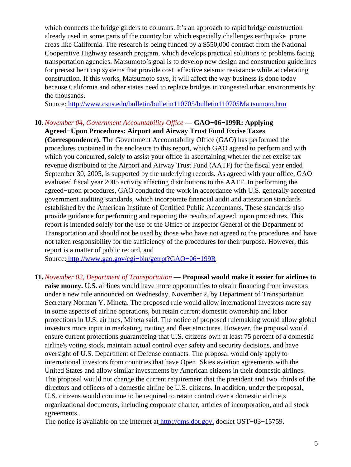which connects the bridge girders to columns. It's an approach to rapid bridge construction already used in some parts of the country but which especially challenges earthquake−prone areas like California. The research is being funded by a \$550,000 contract from the National Cooperative Highway research program, which develops practical solutions to problems facing transportation agencies. Matsumoto's goal is to develop new design and construction guidelines for precast bent cap systems that provide cost−effective seismic resistance while accelerating construction. If this works, Matsumoto says, it will affect the way business is done today because California and other states need to replace bridges in congested urban environments by the thousands.

Source[: http://www.csus.edu/bulletin/bulletin110705/bulletin110705Ma tsumoto.htm](http://www.csus.edu/bulletin/bulletin110705/bulletin110705Matsumoto.htm)

#### **10.** *November 04, Government Accountability Office* — **GAO−06−199R: Applying Agreed−Upon Procedures: Airport and Airway Trust Fund Excise Taxes**

**(Correspondence).** The Government Accountability Office (GAO) has performed the procedures contained in the enclosure to this report, which GAO agreed to perform and with which you concurred, solely to assist your office in ascertaining whether the net excise tax revenue distributed to the Airport and Airway Trust Fund (AATF) for the fiscal year ended September 30, 2005, is supported by the underlying records. As agreed with your office, GAO evaluated fiscal year 2005 activity affecting distributions to the AATF. In performing the agreed−upon procedures, GAO conducted the work in accordance with U.S. generally accepted government auditing standards, which incorporate financial audit and attestation standards established by the American Institute of Certified Public Accountants. These standards also provide guidance for performing and reporting the results of agreed−upon procedures. This report is intended solely for the use of the Office of Inspector General of the Department of Transportation and should not be used by those who have not agreed to the procedures and have not taken responsibility for the sufficiency of the procedures for their purpose. However, this report is a matter of public record, and

Source[: http://www.gao.gov/cgi−bin/getrpt?GAO−06−199R](http://www.gao.gov/cgi-bin/getrpt?GAO-06-199R)

**11.** *November 02, Department of Transportation* — **Proposal would make it easier for airlines to raise money.** U.S. airlines would have more opportunities to obtain financing from investors under a new rule announced on Wednesday, November 2, by Department of Transportation Secretary Norman Y. Mineta. The proposed rule would allow international investors more say in some aspects of airline operations, but retain current domestic ownership and labor protections in U.S. airlines, Mineta said. The notice of proposed rulemaking would allow global investors more input in marketing, routing and fleet structures. However, the proposal would ensure current protections guaranteeing that U.S. citizens own at least 75 percent of a domestic airline's voting stock, maintain actual control over safety and security decisions, and have oversight of U.S. Department of Defense contracts. The proposal would only apply to international investors from countries that have Open−Skies aviation agreements with the United States and allow similar investments by American citizens in their domestic airlines. The proposal would not change the current requirement that the president and two−thirds of the directors and officers of a domestic airline be U.S. citizens. In addition, under the proposal, U.S. citizens would continue to be required to retain control over a domestic airline, s organizational documents, including corporate charter, articles of incorporation, and all stock agreements.

The notice is available on the Internet at<http://dms.dot.gov,>docket OST–03–15759.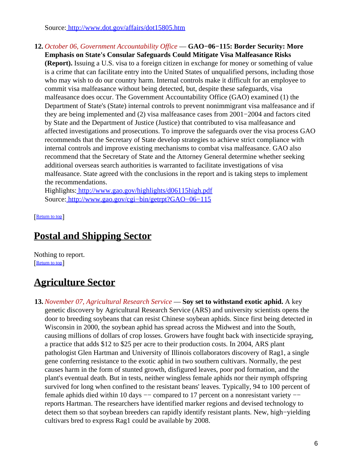Source[: http://www.dot.gov/affairs/dot15805.htm](http://www.dot.gov/affairs/dot15805.htm)

**12.** *October 06, Government Accountability Office* — **GAO−06−115: Border Security: More Emphasis on State's Consular Safeguards Could Mitigate Visa Malfeasance Risks (Report).** Issuing a U.S. visa to a foreign citizen in exchange for money or something of value is a crime that can facilitate entry into the United States of unqualified persons, including those who may wish to do our country harm. Internal controls make it difficult for an employee to commit visa malfeasance without being detected, but, despite these safeguards, visa malfeasance does occur. The Government Accountability Office (GAO) examined (1) the Department of State's (State) internal controls to prevent nonimmigrant visa malfeasance and if they are being implemented and (2) visa malfeasance cases from 2001−2004 and factors cited by State and the Department of Justice (Justice) that contributed to visa malfeasance and affected investigations and prosecutions. To improve the safeguards over the visa process GAO recommends that the Secretary of State develop strategies to achieve strict compliance with internal controls and improve existing mechanisms to combat visa malfeasance. GAO also recommend that the Secretary of State and the Attorney General determine whether seeking additional overseas search authorities is warranted to facilitate investigations of visa malfeasance. State agreed with the conclusions in the report and is taking steps to implement the recommendations.

Highlights:<http://www.gao.gov/highlights/d06115high.pdf> Source[: http://www.gao.gov/cgi−bin/getrpt?GAO−06−115](http://www.gao.gov/cgi-bin/getrpt?GAO-06-115)

[[Return to top](#page-0-1)]

# <span id="page-5-0"></span>**Postal and Shipping Sector**

Nothing to report. [[Return to top](#page-0-1)]

# <span id="page-5-1"></span>**Agriculture Sector**

**13.** *November 07, Agricultural Research Service* — **Soy set to withstand exotic aphid.** A key genetic discovery by Agricultural Research Service (ARS) and university scientists opens the door to breeding soybeans that can resist Chinese soybean aphids. Since first being detected in Wisconsin in 2000, the soybean aphid has spread across the Midwest and into the South, causing millions of dollars of crop losses. Growers have fought back with insecticide spraying, a practice that adds \$12 to \$25 per acre to their production costs. In 2004, ARS plant pathologist Glen Hartman and University of Illinois collaborators discovery of Rag1, a single gene conferring resistance to the exotic aphid in two southern cultivars. Normally, the pest causes harm in the form of stunted growth, disfigured leaves, poor pod formation, and the plant's eventual death. But in tests, neither wingless female aphids nor their nymph offspring survived for long when confined to the resistant beans' leaves. Typically, 94 to 100 percent of female aphids died within 10 days −− compared to 17 percent on a nonresistant variety −− reports Hartman. The researchers have identified marker regions and devised technology to detect them so that soybean breeders can rapidly identify resistant plants. New, high−yielding cultivars bred to express Rag1 could be available by 2008.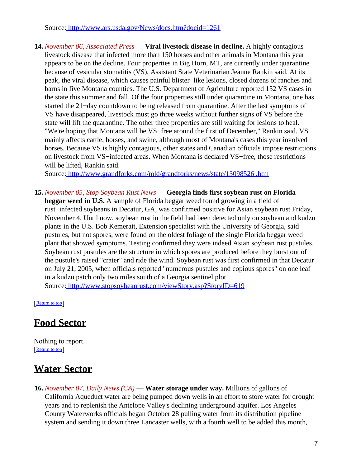Source[: http://www.ars.usda.gov/News/docs.htm?docid=1261](http://www.ars.usda.gov/News/docs.htm?docid=1261)

**14.** *November 06, Associated Press* — **Viral livestock disease in decline.** A highly contagious livestock disease that infected more than 150 horses and other animals in Montana this year appears to be on the decline. Four properties in Big Horn, MT, are currently under quarantine because of vesicular stomatitis (VS), Assistant State Veterinarian Jeanne Rankin said. At its peak, the viral disease, which causes painful blister−like lesions, closed dozens of ranches and barns in five Montana counties. The U.S. Department of Agriculture reported 152 VS cases in the state this summer and fall. Of the four properties still under quarantine in Montana, one has started the 21−day countdown to being released from quarantine. After the last symptoms of VS have disappeared, livestock must go three weeks without further signs of VS before the state will lift the quarantine. The other three properties are still waiting for lesions to heal. "We're hoping that Montana will be VS−free around the first of December," Rankin said. VS mainly affects cattle, horses, and swine, although most of Montana's cases this year involved horses. Because VS is highly contagious, other states and Canadian officials impose restrictions on livestock from VS−infected areas. When Montana is declared VS−free, those restrictions will be lifted, Rankin said.

Source[: http://www.grandforks.com/mld/grandforks/news/state/13098526 .htm](http://www.grandforks.com/mld/grandforks/news/state/13098526.htm)

**15.** *November 05, Stop Soybean Rust News* — **Georgia finds first soybean rust on Florida beggar weed in U.S.** A sample of Florida beggar weed found growing in a field of rust−infected soybeans in Decatur, GA, was confirmed positive for Asian soybean rust Friday, November 4. Until now, soybean rust in the field had been detected only on soybean and kudzu plants in the U.S. Bob Kemerait, Extension specialist with the University of Georgia, said pustules, but not spores, were found on the oldest foliage of the single Florida beggar weed plant that showed symptoms. Testing confirmed they were indeed Asian soybean rust pustules. Soybean rust pustules are the structure in which spores are produced before they burst out of the pustule's raised "crater" and ride the wind. Soybean rust was first confirmed in that Decatur on July 21, 2005, when officials reported "numerous pustules and copious spores" on one leaf in a kudzu patch only two miles south of a Georgia sentinel plot. Source[: http://www.stopsoybeanrust.com/viewStory.asp?StoryID=619](http://www.stopsoybeanrust.com/viewStory.asp?StoryID=619)

[[Return to top](#page-0-1)]

## <span id="page-6-0"></span>**Food Sector**

Nothing to report. [[Return to top](#page-0-1)]

## <span id="page-6-1"></span>**Water Sector**

**16.** *November 07, Daily News (CA)* — **Water storage under way.** Millions of gallons of California Aqueduct water are being pumped down wells in an effort to store water for drought years and to replenish the Antelope Valley's declining underground aquifer. Los Angeles County Waterworks officials began October 28 pulling water from its distribution pipeline system and sending it down three Lancaster wells, with a fourth well to be added this month,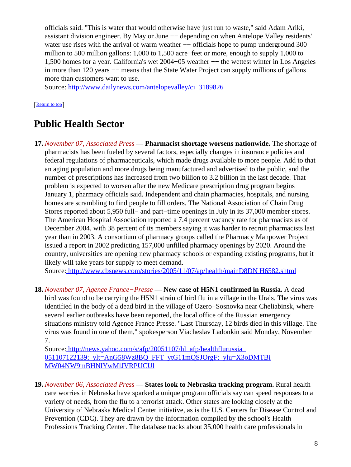officials said. "This is water that would otherwise have just run to waste," said Adam Ariki, assistant division engineer. By May or June −− depending on when Antelope Valley residents' water use rises with the arrival of warm weather — officials hope to pump underground 300 million to 500 million gallons: 1,000 to 1,500 acre−feet or more, enough to supply 1,000 to 1,500 homes for a year. California's wet 2004−05 weather −− the wettest winter in Los Angeles in more than 120 years −− means that the State Water Project can supply millions of gallons more than customers want to use.

Source[: http://www.dailynews.com/antelopevalley/ci\\_3189826](http://www.dailynews.com/antelopevalley/ci_3189826)

[[Return to top](#page-0-1)]

## <span id="page-7-1"></span>**Public Health Sector**

**17.** *November 07, Associated Press* — **Pharmacist shortage worsens nationwide.** The shortage of pharmacists has been fueled by several factors, especially changes in insurance policies and federal regulations of pharmaceuticals, which made drugs available to more people. Add to that an aging population and more drugs being manufactured and advertised to the public, and the number of prescriptions has increased from two billion to 3.2 billion in the last decade. That problem is expected to worsen after the new Medicare prescription drug program begins January 1, pharmacy officials said. Independent and chain pharmacies, hospitals, and nursing homes are scrambling to find people to fill orders. The National Association of Chain Drug Stores reported about 5,950 full− and part−time openings in July in its 37,000 member stores. The American Hospital Association reported a 7.4 percent vacancy rate for pharmacists as of December 2004, with 38 percent of its members saying it was harder to recruit pharmacists last year than in 2003. A consortium of pharmacy groups called the Pharmacy Manpower Project issued a report in 2002 predicting 157,000 unfilled pharmacy openings by 2020. Around the country, universities are opening new pharmacy schools or expanding existing programs, but it likely will take years for supply to meet demand.

Source[: http://www.cbsnews.com/stories/2005/11/07/ap/health/mainD8DN H6582.shtml](http://www.cbsnews.com/stories/2005/11/07/ap/health/mainD8DNH6582.shtml)

**18.** *November 07, Agence France−Presse* — **New case of H5N1 confirmed in Russia.** A dead bird was found to be carrying the H5N1 strain of bird flu in a village in the Urals. The virus was identified in the body of a dead bird in the village of Ozero−Sosnovka near Cheliabinsk, where several earlier outbreaks have been reported, the local office of the Russian emergency situations ministry told Agence France Presse. "Last Thursday, 12 birds died in this village. The virus was found in one of them," spokesperson Viacheslav Ladonkin said Monday, November 7.

Source[: http://news.yahoo.com/s/afp/20051107/hl\\_afp/healthflurussia\\_](http://news.yahoo.com/s/afp/20051107/hl_afp/healthflurussia_051107122139;_ylt=AnG58Wz8BQ_FFT_ytG11mQSJOrgF;_ylu=X3oDMTBiMW04NW9mBHNlYwMlJVRPUCUl) 051107122139; ylt=AnG58Wz8BO\_FFT\_ytG11mOSJOrgF;\_ylu=X3oDMTBi [MW04NW9mBHNlYwMlJVRPUCUl](http://news.yahoo.com/s/afp/20051107/hl_afp/healthflurussia_051107122139;_ylt=AnG58Wz8BQ_FFT_ytG11mQSJOrgF;_ylu=X3oDMTBiMW04NW9mBHNlYwMlJVRPUCUl)

<span id="page-7-0"></span>**19.** *November 06, Associated Press* — **States look to Nebraska tracking program.** Rural health care worries in Nebraska have sparked a unique program officials say can speed responses to a variety of needs, from the flu to a terrorist attack. Other states are looking closely at the University of Nebraska Medical Center initiative, as is the U.S. Centers for Disease Control and Prevention (CDC). They are drawn by the information compiled by the school's Health Professions Tracking Center. The database tracks about 35,000 health care professionals in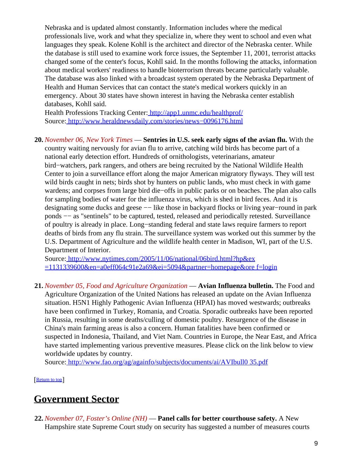Nebraska and is updated almost constantly. Information includes where the medical professionals live, work and what they specialize in, where they went to school and even what languages they speak. Kolene Kohll is the architect and director of the Nebraska center. While the database is still used to examine work force issues, the September 11, 2001, terrorist attacks changed some of the center's focus, Kohll said. In the months following the attacks, information about medical workers' readiness to handle bioterrorism threats became particularly valuable. The database was also linked with a broadcast system operated by the Nebraska Department of Health and Human Services that can contact the state's medical workers quickly in an emergency. About 30 states have shown interest in having the Nebraska center establish databases, Kohll said.

Health Professions Tracking Center:<http://app1.unmc.edu/healthprof/> Source[: http://www.heraldnewsdaily.com/stories/news−0096176.html](http://www.heraldnewsdaily.com/stories/news-0096176.html)

<span id="page-8-0"></span>**20.** *November 06, New York Times* — **Sentries in U.S. seek early signs of the avian flu.** With the country waiting nervously for avian flu to arrive, catching wild birds has become part of a national early detection effort. Hundreds of ornithologists, veterinarians, amateur bird−watchers, park rangers, and others are being recruited by the National Wildlife Health Center to join a surveillance effort along the major American migratory flyways. They will test wild birds caught in nets; birds shot by hunters on public lands, who must check in with game wardens; and corpses from large bird die−offs in public parks or on beaches. The plan also calls for sampling bodies of water for the influenza virus, which is shed in bird feces. And it is designating some ducks and geese −− like those in backyard flocks or living year–round in park ponds −− as "sentinels" to be captured, tested, released and periodically retested. Surveillance of poultry is already in place. Long−standing federal and state laws require farmers to report deaths of birds from any flu strain. The surveillance system was worked out this summer by the U.S. Department of Agriculture and the wildlife health center in Madison, WI, part of the U.S. Department of Interior.

Source[: http://www.nytimes.com/2005/11/06/national/06bird.html?hp&ex](http://www.nytimes.com/2005/11/06/national/06bird.html?hp&ex=1131339600&en=a0eff064c91e2a69&ei=5094&partner=homepage&oref=login) [=1131339600&en=a0eff064c91e2a69&ei=5094&partner=homepage&ore f=login](http://www.nytimes.com/2005/11/06/national/06bird.html?hp&ex=1131339600&en=a0eff064c91e2a69&ei=5094&partner=homepage&oref=login)

**21.** *November 05, Food and Agriculture Organization* — **Avian Influenza bulletin.** The Food and Agriculture Organization of the United Nations has released an update on the Avian Influenza situation. H5N1 Highly Pathogenic Avian Influenza (HPAI) has moved westwards; outbreaks have been confirmed in Turkey, Romania, and Croatia. Sporadic outbreaks have been reported in Russia, resulting in some deaths/culling of domestic poultry. Resurgence of the disease in China's main farming areas is also a concern. Human fatalities have been confirmed or suspected in Indonesia, Thailand, and Viet Nam. Countries in Europe, the Near East, and Africa have started implementing various preventive measures. Please click on the link below to view worldwide updates by country.

Source[: http://www.fao.org/ag/againfo/subjects/documents/ai/AVIbull0 35.pdf](http://www.fao.org/ag/againfo/subjects/documents/ai/AVIbull035.pdf)

[[Return to top](#page-0-1)]

### <span id="page-8-1"></span>**Government Sector**

**22.** *November 07, Foster's Online (NH)* — **Panel calls for better courthouse safety.** A New Hampshire state Supreme Court study on security has suggested a number of measures courts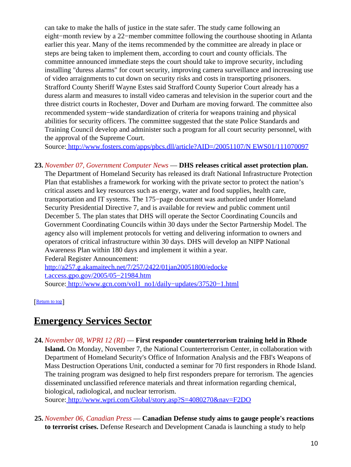can take to make the halls of justice in the state safer. The study came following an eight−month review by a 22−member committee following the courthouse shooting in Atlanta earlier this year. Many of the items recommended by the committee are already in place or steps are being taken to implement them, according to court and county officials. The committee announced immediate steps the court should take to improve security, including installing "duress alarms" for court security, improving camera surveillance and increasing use of video arraignments to cut down on security risks and costs in transporting prisoners. Strafford County Sheriff Wayne Estes said Strafford County Superior Court already has a duress alarm and measures to install video cameras and television in the superior court and the three district courts in Rochester, Dover and Durham are moving forward. The committee also recommended system−wide standardization of criteria for weapons training and physical abilities for security officers. The committee suggested that the state Police Standards and Training Council develop and administer such a program for all court security personnel, with the approval of the Supreme Court.

Source[: http://www.fosters.com/apps/pbcs.dll/article?AID=/20051107/N EWS01/111070097](http://www.fosters.com/apps/pbcs.dll/article?AID=/20051107/NEWS01/111070097)

**23.** *November 07, Government Computer News* — **DHS releases critical asset protection plan.** The Department of Homeland Security has released its draft National Infrastructure Protection Plan that establishes a framework for working with the private sector to protect the nation's critical assets and key resources such as energy, water and food supplies, health care, transportation and IT systems. The 175−page document was authorized under Homeland Security Presidential Directive 7, and is available for review and public comment until December 5. The plan states that DHS will operate the Sector Coordinating Councils and Government Coordinating Councils within 30 days under the Sector Partnership Model. The agency also will implement protocols for vetting and delivering information to owners and operators of critical infrastructure within 30 days. DHS will develop an NIPP National Awareness Plan within 180 days and implement it within a year. Federal Register Announcement:

[http://a257.g.akamaitech.net/7/257/2422/01jan20051800/edocke](http://a257.g.akamaitech.net/7/257/2422/01jan20051800/edocket.access.gpo.gov/2005/05-21984.htm) [t.access.gpo.gov/2005/05−21984.htm](http://a257.g.akamaitech.net/7/257/2422/01jan20051800/edocket.access.gpo.gov/2005/05-21984.htm) Source[: http://www.gcn.com/vol1\\_no1/daily−updates/37520−1.html](http://www.gcn.com/vol1_no1/daily-updates/37520-1.html)

[[Return to top](#page-0-1)]

## <span id="page-9-0"></span>**Emergency Services Sector**

**24.** *November 08, WPRI 12 (RI)* — **First responder counterterrorism training held in Rhode Island.** On Monday, November 7, the National Counterterrorism Center, in collaboration with Department of Homeland Security's Office of Information Analysis and the FBI's Weapons of Mass Destruction Operations Unit, conducted a seminar for 70 first responders in Rhode Island. The training program was designed to help first responders prepare for terrorism. The agencies disseminated unclassified reference materials and threat information regarding chemical, biological, radiological, and nuclear terrorism.

Source[: http://www.wpri.com/Global/story.asp?S=4080270&nav=F2DO](http://www.wpri.com/Global/story.asp?S=4080270&nav=F2DO)

**25.** *November 06, Canadian Press* — **Canadian Defense study aims to gauge people's reactions to terrorist crises.** Defense Research and Development Canada is launching a study to help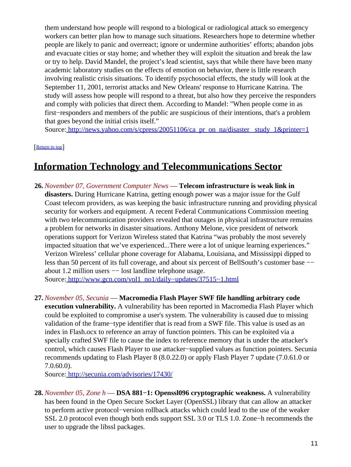them understand how people will respond to a biological or radiological attack so emergency workers can better plan how to manage such situations. Researchers hope to determine whether people are likely to panic and overreact; ignore or undermine authorities' efforts; abandon jobs and evacuate cities or stay home; and whether they will exploit the situation and break the law or try to help. David Mandel, the project's lead scientist, says that while there have been many academic laboratory studies on the effects of emotion on behavior, there is little research involving realistic crisis situations. To identify psychosocial effects, the study will look at the September 11, 2001, terrorist attacks and New Orleans' response to Hurricane Katrina. The study will assess how people will respond to a threat, but also how they perceive the responders and comply with policies that direct them. According to Mandel: "When people come in as first−responders and members of the public are suspicious of their intentions, that's a problem that goes beyond the initial crisis itself."

Source: http://news.yahoo.com/s/cpress/20051106/ca\_pr\_on\_na/disaster\_study\_1&printer=1

[[Return to top](#page-0-1)]

## <span id="page-10-0"></span>**Information Technology and Telecommunications Sector**

**26.** *November 07, Government Computer News* — **Telecom infrastructure is weak link in disasters.** During Hurricane Katrina, getting enough power was a major issue for the Gulf Coast telecom providers, as was keeping the basic infrastructure running and providing physical security for workers and equipment. A recent Federal Communications Commission meeting with two telecommunication providers revealed that outages in physical infrastructure remains a problem for networks in disaster situations. Anthony Melone, vice president of network operations support for Verizon Wireless stated that Katrina "was probably the most severely impacted situation that we've experienced...There were a lot of unique learning experiences." Verizon Wireless' cellular phone coverage for Alabama, Louisiana, and Mississippi dipped to less than 50 percent of its full coverage, and about six percent of BellSouth's customer base −− about 1.2 million users −− lost landline telephone usage.

Source[: http://www.gcn.com/vol1\\_no1/daily−updates/37515−1.html](http://www.gcn.com/vol1_no1/daily-updates/37515-1.html)

**27.** *November 05, Secunia* — **Macromedia Flash Player SWF file handling arbitrary code execution vulnerability.** A vulnerability has been reported in Macromedia Flash Player which could be exploited to compromise a user's system. The vulnerability is caused due to missing validation of the frame−type identifier that is read from a SWF file. This value is used as an index in Flash.ocx to reference an array of function pointers. This can be exploited via a specially crafted SWF file to cause the index to reference memory that is under the attacker's control, which causes Flash Player to use attacker−supplied values as function pointers. Secunia recommends updating to Flash Player 8 (8.0.22.0) or apply Flash Player 7 update (7.0.61.0 or 7.0.60.0).

Source[: http://secunia.com/advisories/17430/](http://secunia.com/advisories/17430/)

**28.** *November 05, Zone h* — **DSA 881−1: Openssl096 cryptographic weakness.** A vulnerability has been found in the Open Secure Socket Layer (OpenSSL) library that can allow an attacker to perform active protocol−version rollback attacks which could lead to the use of the weaker SSL 2.0 protocol even though both ends support SSL 3.0 or TLS 1.0. Zone−h recommends the user to upgrade the libssl packages.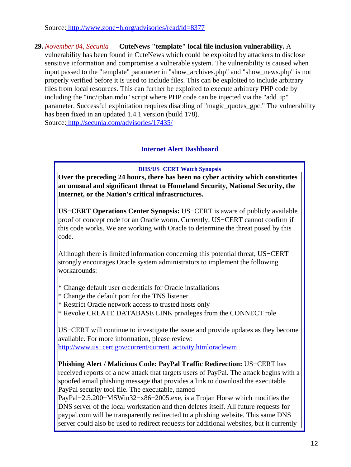Source[: http://www.zone−h.org/advisories/read/id=8377](http://www.zone-h.org/advisories/read/id=8377)

#### **29.** *November 04, Secunia* — **CuteNews "template" local file inclusion vulnerability.** A

vulnerability has been found in CuteNews which could be exploited by attackers to disclose sensitive information and compromise a vulnerable system. The vulnerability is caused when input passed to the "template" parameter in "show\_archives.php" and "show\_news.php" is not properly verified before it is used to include files. This can be exploited to include arbitrary files from local resources. This can further be exploited to execute arbitrary PHP code by including the "inc/ipban.mdu" script where PHP code can be injected via the "add\_ip" parameter. Successful exploitation requires disabling of "magic\_quotes\_gpc." The vulnerability has been fixed in an updated 1.4.1 version (build 178). Source[: http://secunia.com/advisories/17435/](http://secunia.com/advisories/17435/)

#### **Internet Alert Dashboard**

**DHS/US−CERT Watch Synopsis**

<span id="page-11-0"></span>**Over the preceding 24 hours, there has been no cyber activity which constitutes an unusual and significant threat to Homeland Security, National Security, the Internet, or the Nation's critical infrastructures.**

**US−CERT Operations Center Synopsis:** US−CERT is aware of publicly available proof of concept code for an Oracle worm. Currently, US−CERT cannot confirm if this code works. We are working with Oracle to determine the threat posed by this code.

Although there is limited information concerning this potential threat, US−CERT strongly encourages Oracle system administrators to implement the following workarounds:

- \* Change default user credentials for Oracle installations
- \* Change the default port for the TNS listener
- \* Restrict Oracle network access to trusted hosts only
- \* Revoke CREATE DATABASE LINK privileges from the CONNECT role

US−CERT will continue to investigate the issue and provide updates as they become available. For more information, please review: [http://www.us−cert.gov/current/current\\_activity.htmloraclewm](http://www.us-cert.gov/current/current_activity.htmloraclewm)

**Phishing Alert / Malicious Code: PayPal Traffic Redirection:** US−CERT has received reports of a new attack that targets users of PayPal. The attack begins with a spoofed email phishing message that provides a link to download the executable PayPal security tool file. The executable, named

PayPal−2.5.200−MSWin32−x86−2005.exe, is a Trojan Horse which modifies the DNS server of the local workstation and then deletes itself. All future requests for paypal.com will be transparently redirected to a phishing website. This same DNS server could also be used to redirect requests for additional websites, but it currently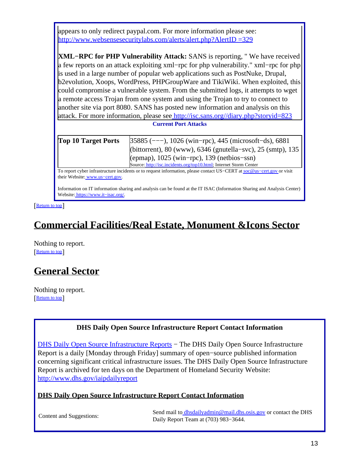| appears to only redirect paypal.com. For more information please see:                                                                                     |                                                                    |
|-----------------------------------------------------------------------------------------------------------------------------------------------------------|--------------------------------------------------------------------|
| http://www.websensesecuritylabs.com/alerts/alert.php?AlertID =329                                                                                         |                                                                    |
|                                                                                                                                                           |                                                                    |
| <b>XML-RPC for PHP Vulnerability Attack: SANS is reporting, "We have received</b>                                                                         |                                                                    |
| a few reports on an attack exploiting xml-rpc for php vulnerability." xml-rpc for php                                                                     |                                                                    |
| is used in a large number of popular web applications such as PostNuke, Drupal,                                                                           |                                                                    |
| b2evolution, Xoops, WordPress, PHPGroupWare and TikiWiki. When exploited, this                                                                            |                                                                    |
| could compromise a vulnerable system. From the submitted logs, it attempts to wget                                                                        |                                                                    |
| a remote access Trojan from one system and using the Trojan to try to connect to                                                                          |                                                                    |
| another site via port 8080. SANS has posted new information and analysis on this                                                                          |                                                                    |
| attack. For more information, please see http://isc.sans.org//diary.php?storyid=823                                                                       |                                                                    |
| <b>Current Port Attacks</b>                                                                                                                               |                                                                    |
| <b>Top 10 Target Ports</b>                                                                                                                                | [35885 (---), 1026 (win-rpc), 445 (microsoft-ds), 6881             |
|                                                                                                                                                           | (bittorrent), 80 (www), $6346$ (gnutella–svc), 25 (smtp), 135      |
|                                                                                                                                                           | (epmap), $1025$ (win-rpc), $139$ (netbios-ssn)                     |
|                                                                                                                                                           | Source: http://isc.incidents.org/top10.html; Internet Storm Center |
| To report cyber infrastructure incidents or to request information, please contact US-CERT at soc@us-cert.gov or visit<br>their Website: www.us-cert.gov. |                                                                    |
| Lefennation on IT information decision and coolinic son by found at the IT ICAO (Lefennation Champerson) Anglesia Osmtoni                                 |                                                                    |

Information on IT information sharing and analysis can be found at the IT ISAC (Information Sharing and Analysis Center) Website: [https://www.it−isac.org/.](https://www.it-isac.org/)

[[Return to top](#page-0-1)]

# <span id="page-12-0"></span>**Commercial Facilities/Real Estate, Monument &Icons Sector**

Nothing to report. [[Return to top](#page-0-1)]

# <span id="page-12-1"></span>**General Sector**

Nothing to report. [[Return to top](#page-0-1)]

#### **DHS Daily Open Source Infrastructure Report Contact Information**

<span id="page-12-2"></span>[DHS Daily Open Source Infrastructure Reports](http://www.dhs.gov/iaipdailyreport) – The DHS Daily Open Source Infrastructure Report is a daily [Monday through Friday] summary of open−source published information concerning significant critical infrastructure issues. The DHS Daily Open Source Infrastructure Report is archived for ten days on the Department of Homeland Security Website: <http://www.dhs.gov/iaipdailyreport>

#### **DHS Daily Open Source Infrastructure Report Contact Information**

Content and Suggestions:<br>
Send mail to [dhsdailyadmin@mail.dhs.osis.gov](mailto:dhsdailyadmin@mail.dhs.osis.gov) or contact the DHS Daily Report Team at (703) 983−3644.